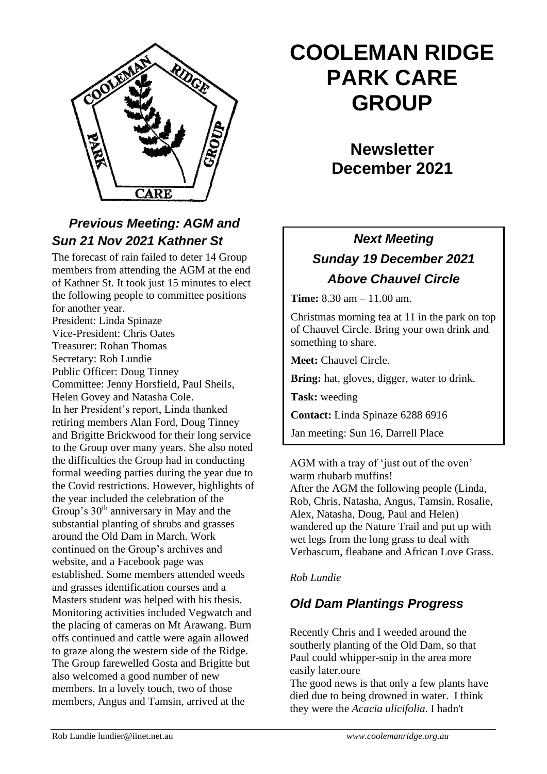

## *Previous Meeting: AGM and Sun 21 Nov 2021 Kathner St*

The forecast of rain failed to deter 14 Group members from attending the AGM at the end of Kathner St. It took just 15 minutes to elect the following people to committee positions for another year. President: Linda Spinaze Vice-President: Chris Oates Treasurer: Rohan Thomas Secretary: Rob Lundie Public Officer: Doug Tinney Committee: Jenny Horsfield, Paul Sheils, Helen Govey and Natasha Cole. In her President's report, Linda thanked retiring members Alan Ford, Doug Tinney and Brigitte Brickwood for their long service to the Group over many years. She also noted the difficulties the Group had in conducting formal weeding parties during the year due to the Covid restrictions. However, highlights of the year included the celebration of the Group's 30<sup>th</sup> anniversary in May and the substantial planting of shrubs and grasses around the Old Dam in March. Work continued on the Group's archives and website, and a Facebook page was established. Some members attended weeds and grasses identification courses and a Masters student was helped with his thesis. Monitoring activities included Vegwatch and the placing of cameras on Mt Arawang. Burn offs continued and cattle were again allowed to graze along the western side of the Ridge. The Group farewelled Gosta and Brigitte but also welcomed a good number of new members. In a lovely touch, two of those members, Angus and Tamsin, arrived at the

# **COOLEMAN RIDGE PARK CARE GROUP**

**Newsletter December 2021** 

## *Next Meeting Sunday 19 December 2021 Above Chauvel Circle*

**Time:** 8.30 am – 11.00 am.

Christmas morning tea at 11 in the park on top of Chauvel Circle. Bring your own drink and something to share.

**Meet:** Chauvel Circle.

**Bring:** hat, gloves, digger, water to drink.

**Task:** weeding

**Contact:** Linda Spinaze 6288 6916

Jan meeting: Sun 16, Darrell Place

AGM with a tray of 'just out of the oven' warm rhubarb muffins! After the AGM the following people (Linda, Rob, Chris, Natasha, Angus, Tamsin, Rosalie, Alex, Natasha, Doug, Paul and Helen) wandered up the Nature Trail and put up with wet legs from the long grass to deal with Verbascum, fleabane and African Love Grass.

#### *Rob Lundie*

## *Old Dam Plantings Progress*

Recently Chris and I weeded around the southerly planting of the Old Dam, so that Paul could whipper-snip in the area more easily later.oure

The good news is that only a few plants have died due to being drowned in water. I think they were the *Acacia ulicifolia*. I hadn't